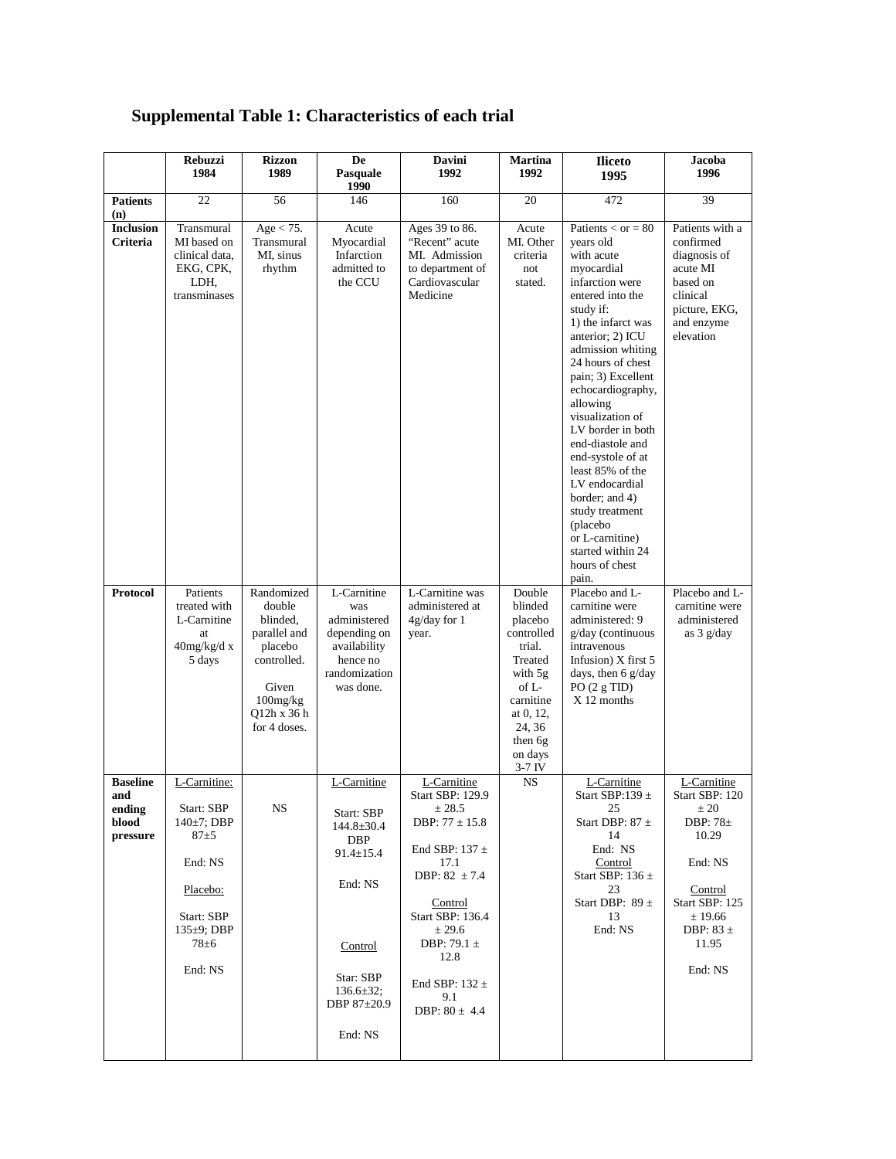## **Supplemental Table 1: Characteristics of each trial**

|                                                       | <b>Rebuzzi</b><br>1984                                                                                                             | <b>Rizzon</b><br>1989                                                                                                          | De<br>Pasquale<br>1990                                                                                                                                   | <b>Davini</b><br>1992                                                                                                                                                                                                                               | <b>Martina</b><br>1992                                                                                                                                      | <b>Iliceto</b><br>1995                                                                                                                                                                                                                                                                                                                                                                                                                                                                                     | Jacoba<br>1996                                                                                                                                           |
|-------------------------------------------------------|------------------------------------------------------------------------------------------------------------------------------------|--------------------------------------------------------------------------------------------------------------------------------|----------------------------------------------------------------------------------------------------------------------------------------------------------|-----------------------------------------------------------------------------------------------------------------------------------------------------------------------------------------------------------------------------------------------------|-------------------------------------------------------------------------------------------------------------------------------------------------------------|------------------------------------------------------------------------------------------------------------------------------------------------------------------------------------------------------------------------------------------------------------------------------------------------------------------------------------------------------------------------------------------------------------------------------------------------------------------------------------------------------------|----------------------------------------------------------------------------------------------------------------------------------------------------------|
| <b>Patients</b><br>(n)                                | 22                                                                                                                                 | 56                                                                                                                             | 146                                                                                                                                                      | 160                                                                                                                                                                                                                                                 | 20                                                                                                                                                          | 472                                                                                                                                                                                                                                                                                                                                                                                                                                                                                                        | 39                                                                                                                                                       |
| <b>Inclusion</b><br>Criteria                          | Transmural<br>MI based on<br>clinical data,<br>EKG, CPK,<br>LDH,<br>transminases                                                   | Age < 75.<br>Transmural<br>MI, sinus<br>rhythm                                                                                 | Acute<br>Myocardial<br>Infarction<br>admitted to<br>the CCU                                                                                              | Ages 39 to 86.<br>"Recent" acute<br>MI. Admission<br>to department of<br>Cardiovascular<br>Medicine                                                                                                                                                 | Acute<br>MI. Other<br>criteria<br>not<br>stated.                                                                                                            | Patients $<$ or $= 80$<br>years old<br>with acute<br>myocardial<br>infarction were<br>entered into the<br>study if:<br>1) the infarct was<br>anterior; 2) ICU<br>admission whiting<br>24 hours of chest<br>pain; 3) Excellent<br>echocardiography,<br>allowing<br>visualization of<br>LV border in both<br>end-diastole and<br>end-systole of at<br>least 85% of the<br>LV endocardial<br>border; and 4)<br>study treatment<br>(placebo<br>or L-carnitine)<br>started within 24<br>hours of chest<br>pain. | Patients with a<br>confirmed<br>diagnosis of<br>acute MI<br>based on<br>clinical<br>picture, EKG,<br>and enzyme<br>elevation                             |
| Protocol                                              | Patients<br>treated with<br>L-Carnitine<br>at<br>40mg/kg/d x<br>5 days                                                             | Randomized<br>double<br>blinded,<br>parallel and<br>placebo<br>controlled.<br>Given<br>100mg/kg<br>Q12h x 36 h<br>for 4 doses. | L-Carnitine<br>was<br>administered<br>depending on<br>availability<br>hence no<br>randomization<br>was done.                                             | L-Carnitine was<br>administered at<br>$4g/day$ for 1<br>year.                                                                                                                                                                                       | Double<br>blinded<br>placebo<br>controlled<br>trial.<br>Treated<br>with 5g<br>of L-<br>carnitine<br>at $0, 12,$<br>24, 36<br>then 6g<br>on days<br>$3-7$ IV | Placebo and L-<br>carnitine were<br>administered: 9<br>$g/day$ (continuous<br>intravenous<br>Infusion) X first 5<br>days, then 6 g/day<br>PO $(2 g TID)$<br>X 12 months                                                                                                                                                                                                                                                                                                                                    | Placebo and L-<br>carnitine were<br>administered<br>as $3$ g/day                                                                                         |
| <b>Baseline</b><br>and<br>ending<br>blood<br>pressure | L-Carnitine:<br>Start: SBP<br>$140±7$ ; DBP<br>$87 + 5$<br>End: NS<br>Placebo:<br>Start: SBP<br>135±9; DBP<br>$78\pm 6$<br>End: NS | $_{\rm NS}$                                                                                                                    | L-Carnitine<br>Start: SBP<br>$144.8 \pm 30.4$<br><b>DBP</b><br>$91.4 \pm 15.4$<br>End: NS<br>Control<br>Star: SBP<br>136.6±32;<br>DBP 87±20.9<br>End: NS | L-Carnitine<br><b>Start SBP: 129.9</b><br>$\pm 28.5$<br>DBP: $77 \pm 15.8$<br>End SBP: $137 \pm$<br>17.1<br>DBP: $82 \pm 7.4$<br>Control<br>Start SBP: 136.4<br>± 29.6<br>DBP: 79.1 $\pm$<br>12.8<br>End SBP: 132 $\pm$<br>9.1<br>DBP: $80 \pm 4.4$ | <b>NS</b>                                                                                                                                                   | L-Carnitine<br>Start SBP:139 $\pm$<br>25<br>Start DBP: $87 \pm$<br>14<br>End: NS<br>Control<br>Start SBP: 136 $\pm$<br>23<br>Start DBP: $89 \pm$<br>13<br>End: NS                                                                                                                                                                                                                                                                                                                                          | L-Carnitine<br>Start SBP: 120<br>$\pm 20$<br>DBP: $78±$<br>10.29<br>End: NS<br>Control<br>Start SBP: 125<br>± 19.66<br>DBP: 83 $\pm$<br>11.95<br>End: NS |